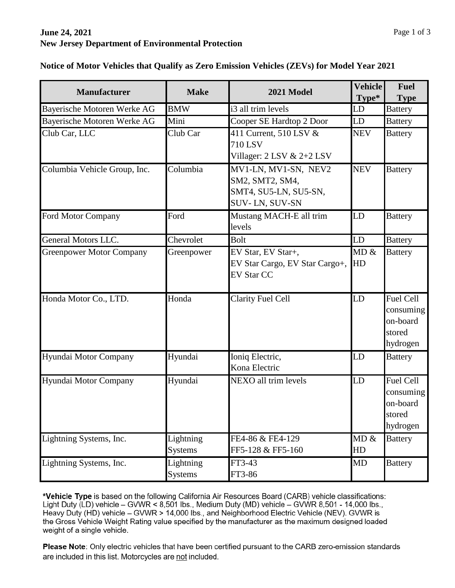## **June 24, 2021 New Jersey Department of Environmental Protection**

| <b>Manufacturer</b>             | <b>Make</b>                 | 2021 Model                                                                         | Vehicle<br>Type* | <b>Fuel</b><br><b>Type</b>                                      |
|---------------------------------|-----------------------------|------------------------------------------------------------------------------------|------------------|-----------------------------------------------------------------|
| Bayerische Motoren Werke AG     | <b>BMW</b>                  | i3 all trim levels                                                                 | LD               | <b>Battery</b>                                                  |
| Bayerische Motoren Werke AG     | Mini                        | Cooper SE Hardtop 2 Door                                                           | LD               | <b>Battery</b>                                                  |
| Club Car, LLC                   | Club Car                    | 411 Current, 510 LSV &<br>710 LSV<br>Villager: 2 LSV & 2+2 LSV                     | <b>NEV</b>       | <b>Battery</b>                                                  |
| Columbia Vehicle Group, Inc.    | Columbia                    | MV1-LN, MV1-SN, NEV2<br>SM2, SMT2, SM4,<br>SMT4, SU5-LN, SU5-SN,<br>SUV-LN, SUV-SN | <b>NEV</b>       | <b>Battery</b>                                                  |
| Ford Motor Company              | Ford                        | Mustang MACH-E all trim<br>levels                                                  | LD               | <b>Battery</b>                                                  |
| General Motors LLC.             | Chevrolet                   | <b>Bolt</b>                                                                        | LD               | <b>Battery</b>                                                  |
| <b>Greenpower Motor Company</b> | Greenpower                  | EV Star, EV Star+,<br>EV Star Cargo, EV Star Cargo+,<br><b>EV Star CC</b>          | MD &<br>HD       | <b>Battery</b>                                                  |
| Honda Motor Co., LTD.           | Honda                       | <b>Clarity Fuel Cell</b>                                                           | LD               | <b>Fuel Cell</b><br>consuming<br>on-board<br>stored<br>hydrogen |
| Hyundai Motor Company           | Hyundai                     | Ioniq Electric,<br>Kona Electric                                                   | LD               | <b>Battery</b>                                                  |
| Hyundai Motor Company           | Hyundai                     | NEXO all trim levels                                                               | LD               | <b>Fuel Cell</b><br>consuming<br>on-board<br>stored<br>hydrogen |
| Lightning Systems, Inc.         | Lightning<br><b>Systems</b> | FE4-86 & FE4-129<br>FF5-128 & FF5-160                                              | MD &<br>HD       | <b>Battery</b>                                                  |
| Lightning Systems, Inc.         | Lightning<br><b>Systems</b> | FT3-43<br>FT3-86                                                                   | <b>MD</b>        | <b>Battery</b>                                                  |

**Notice of Motor Vehicles that Qualify as Zero Emission Vehicles (ZEVs) for Model Year 2021**

\*Vehicle Type is based on the following California Air Resources Board (CARB) vehicle classifications: Light Duty (LD) vehicle  $-$  GVWR < 8,501 lbs., Medium Duty (MD) vehicle  $-$  GVWR 8,501 - 14,000 lbs., Heavy Duty (HD) vehicle - GVWR > 14,000 lbs., and Neighborhood Electric Vehicle (NEV). GVWR is the Gross Vehicle Weight Rating value specified by the manufacturer as the maximum designed loaded weight of a single vehicle.

Please Note: Only electric vehicles that have been certified pursuant to the CARB zero-emission standards are included in this list. Motorcycles are not included.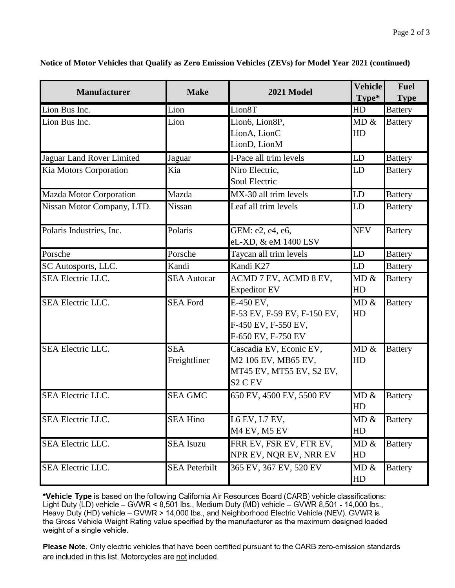| <b>Manufacturer</b>        | <b>Make</b>                | 2021 Model                                                                                                   | Vehicle<br>Type*  | <b>Fuel</b><br><b>Type</b> |
|----------------------------|----------------------------|--------------------------------------------------------------------------------------------------------------|-------------------|----------------------------|
| Lion Bus Inc.              | Lion                       | Lion8T                                                                                                       | HD                | <b>Battery</b>             |
| Lion Bus Inc.              | Lion                       | Lion6, Lion8P,<br>LionA, LionC<br>LionD, LionM                                                               | MD &<br>HD        | <b>Battery</b>             |
| Jaguar Land Rover Limited  | Jaguar                     | I-Pace all trim levels                                                                                       | LD                | <b>Battery</b>             |
| Kia Motors Corporation     | Kia                        | Niro Electric,<br>Soul Electric                                                                              | LD                | <b>Battery</b>             |
| Mazda Motor Corporation    | Mazda                      | MX-30 all trim levels                                                                                        | LD                | <b>Battery</b>             |
| Nissan Motor Company, LTD. | <b>Nissan</b>              | Leaf all trim levels                                                                                         | LD                | <b>Battery</b>             |
| Polaris Industries, Inc.   | Polaris                    | GEM: e2, e4, e6,<br>eL-XD, & eM 1400 LSV                                                                     | <b>NEV</b>        | <b>Battery</b>             |
| Porsche                    | Porsche                    | Taycan all trim levels                                                                                       | LD                | <b>Battery</b>             |
| SC Autosports, LLC.        | Kandi                      | Kandi K27                                                                                                    | LD                | <b>Battery</b>             |
| <b>SEA Electric LLC.</b>   | <b>SEA Autocar</b>         | ACMD 7 EV, ACMD 8 EV,<br><b>Expeditor EV</b>                                                                 | MD &<br>HD        | <b>Battery</b>             |
| <b>SEA Electric LLC.</b>   | <b>SEA Ford</b>            | E-450 EV,<br>F-53 EV, F-59 EV, F-150 EV,<br>F-450 EV, F-550 EV,<br>F-650 EV, F-750 EV                        | MD &<br>HD        | <b>Battery</b>             |
| <b>SEA Electric LLC.</b>   | <b>SEA</b><br>Freightliner | Cascadia EV, Econic EV,<br>M2 106 EV, MB65 EV,<br>MT45 EV, MT55 EV, S2 EV,<br>S <sub>2</sub> C <sub>EV</sub> | MD &<br><b>HD</b> | <b>Battery</b>             |
| <b>SEA Electric LLC.</b>   | <b>SEA GMC</b>             | 650 EV, 4500 EV, 5500 EV                                                                                     | MD &<br><b>HD</b> | <b>Battery</b>             |
| SEA Electric LLC.          | <b>SEA Hino</b>            | L6 EV, L7 EV,<br>M <sub>4</sub> EV, M <sub>5</sub> EV                                                        | MD &<br>HD        | <b>Battery</b>             |
| SEA Electric LLC.          | <b>SEA</b> Isuzu           | FRR EV, FSR EV, FTR EV,<br>NPR EV, NQR EV, NRR EV                                                            | MD &<br>HD        | <b>Battery</b>             |
| SEA Electric LLC.          | <b>SEA Peterbilt</b>       | 365 EV, 367 EV, 520 EV                                                                                       | MD &<br>HD        | <b>Battery</b>             |

**Notice of Motor Vehicles that Qualify as Zero Emission Vehicles (ZEVs) for Model Year 2021 (continued)**

\*Vehicle Type is based on the following California Air Resources Board (CARB) vehicle classifications: Light Duty (LD) vehicle - GVWR < 8,501 lbs., Medium Duty (MD) vehicle - GVWR 8,501 - 14,000 lbs., Heavy Duty (HD) vehicle - GVWR > 14,000 lbs., and Neighborhood Electric Vehicle (NEV). GVWR is the Gross Vehicle Weight Rating value specified by the manufacturer as the maximum designed loaded weight of a single vehicle.

Please Note: Only electric vehicles that have been certified pursuant to the CARB zero-emission standards are included in this list. Motorcycles are not included.